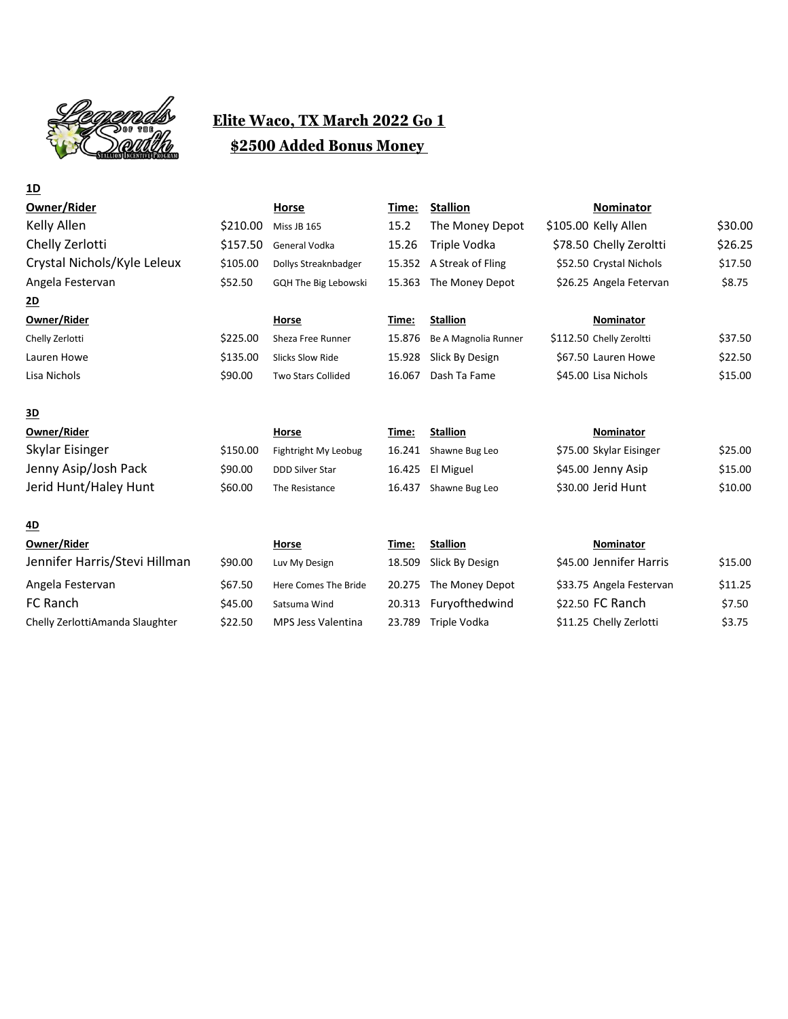

## **Elite Waco, TX March 2022 Go 1 \$2500 Added Bonus Money**

| <u>1D</u>                     |          |                           |        |                      |                          |         |
|-------------------------------|----------|---------------------------|--------|----------------------|--------------------------|---------|
| Owner/Rider                   |          | Horse                     | Time:  | <b>Stallion</b>      | <b>Nominator</b>         |         |
| Kelly Allen                   | \$210.00 | Miss JB 165               | 15.2   | The Money Depot      | \$105.00 Kelly Allen     | \$30.00 |
| Chelly Zerlotti               | \$157.50 | General Vodka             | 15.26  | Triple Vodka         | \$78.50 Chelly Zeroltti  | \$26.25 |
| Crystal Nichols/Kyle Leleux   | \$105.00 | Dollys Streaknbadger      | 15.352 | A Streak of Fling    | \$52.50 Crystal Nichols  | \$17.50 |
| Angela Festervan              | \$52.50  | GQH The Big Lebowski      | 15.363 | The Money Depot      | \$26.25 Angela Fetervan  | \$8.75  |
| <u>2D</u>                     |          |                           |        |                      |                          |         |
| Owner/Rider                   |          | Horse                     | Time:  | <b>Stallion</b>      | <b>Nominator</b>         |         |
| Chelly Zerlotti               | \$225.00 | Sheza Free Runner         | 15.876 | Be A Magnolia Runner | \$112.50 Chelly Zeroltti | \$37.50 |
| Lauren Howe                   | \$135.00 | <b>Slicks Slow Ride</b>   | 15.928 | Slick By Design      | \$67.50 Lauren Howe      | \$22.50 |
| Lisa Nichols                  | \$90.00  | <b>Two Stars Collided</b> | 16.067 | Dash Ta Fame         | \$45.00 Lisa Nichols     | \$15.00 |
| <u>3D</u>                     |          |                           |        |                      |                          |         |
| Owner/Rider                   |          | Horse                     | Time:  | <b>Stallion</b>      | Nominator                |         |
| Skylar Eisinger               | \$150.00 | Fightright My Leobug      | 16.241 | Shawne Bug Leo       | \$75.00 Skylar Eisinger  | \$25.00 |
| Jenny Asip/Josh Pack          | \$90.00  | <b>DDD Silver Star</b>    | 16.425 | El Miguel            | \$45.00 Jenny Asip       | \$15.00 |
| Jerid Hunt/Haley Hunt         | \$60.00  | The Resistance            | 16.437 | Shawne Bug Leo       | \$30.00 Jerid Hunt       | \$10.00 |
| <u>4D</u>                     |          |                           |        |                      |                          |         |
| Owner/Rider                   |          | Horse                     | Time:  | <b>Stallion</b>      | Nominator                |         |
| Jennifer Harris/Stevi Hillman | \$90.00  | Luv My Design             | 18.509 | Slick By Design      | \$45.00 Jennifer Harris  | \$15.00 |
| Angela Festervan              | \$67.50  | Here Comes The Bride      | 20.275 | The Money Depot      | \$33.75 Angela Festervan | \$11.25 |
| FC Ranch                      | \$45.00  | Satsuma Wind              | 20.313 | Furyofthedwind       | \$22.50 FC Ranch         | \$7.50  |

Chelly ZerlottiAmanda Slaughter  $\frac{22.50}{52.75}$  MPS Jess Valentina 23.789 Triple Vodka  $\frac{11.25}{51.25}$  Chelly Zerlotti \$3.75